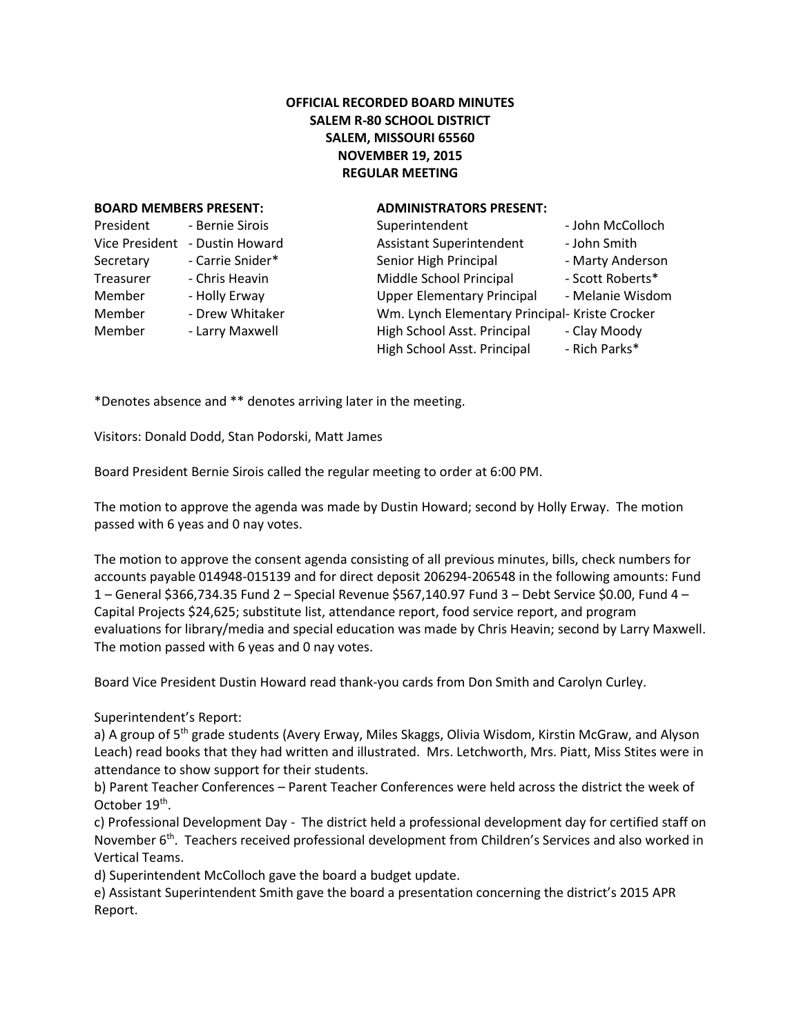## **OFFICIAL RECORDED BOARD MINUTES SALEM R-80 SCHOOL DISTRICT SALEM, MISSOURI 65560 NOVEMBER 19, 2015 REGULAR MEETING**

### **BOARD MEMBERS PRESENT: ADMINISTRATORS PRESENT:**

| President             | - Bernie Sirois  |  |
|-----------------------|------------------|--|
| <b>Vice President</b> | - Dustin Howard  |  |
| Secretary             | - Carrie Snider* |  |
| Treasurer             | - Chris Heavin   |  |
| Member                | - Holly Erway    |  |
| Member                | - Drew Whitaker  |  |
| Member                | - Larry Maxwell  |  |
|                       |                  |  |

| President      | - Bernie Sirois  | Superintendent                                 | - John McColloch |
|----------------|------------------|------------------------------------------------|------------------|
| Vice President | - Dustin Howard  | <b>Assistant Superintendent</b>                | - John Smith     |
| Secretary      | - Carrie Snider* | Senior High Principal                          | - Marty Anderson |
| Treasurer      | - Chris Heavin   | Middle School Principal                        | - Scott Roberts* |
| Member         | - Holly Erway    | <b>Upper Elementary Principal</b>              | - Melanie Wisdom |
| Member         | - Drew Whitaker  | Wm. Lynch Elementary Principal- Kriste Crocker |                  |
| Member         | - Larry Maxwell  | High School Asst. Principal                    | - Clay Moody     |
|                |                  | High School Asst. Principal                    | - Rich Parks*    |
|                |                  |                                                |                  |

\*Denotes absence and \*\* denotes arriving later in the meeting.

Visitors: Donald Dodd, Stan Podorski, Matt James

Board President Bernie Sirois called the regular meeting to order at 6:00 PM.

The motion to approve the agenda was made by Dustin Howard; second by Holly Erway. The motion passed with 6 yeas and 0 nay votes.

The motion to approve the consent agenda consisting of all previous minutes, bills, check numbers for accounts payable 014948-015139 and for direct deposit 206294-206548 in the following amounts: Fund 1 – General \$366,734.35 Fund 2 – Special Revenue \$567,140.97 Fund 3 – Debt Service \$0.00, Fund 4 – Capital Projects \$24,625; substitute list, attendance report, food service report, and program evaluations for library/media and special education was made by Chris Heavin; second by Larry Maxwell. The motion passed with 6 yeas and 0 nay votes.

Board Vice President Dustin Howard read thank-you cards from Don Smith and Carolyn Curley.

Superintendent's Report:

a) A group of 5<sup>th</sup> grade students (Avery Erway, Miles Skaggs, Olivia Wisdom, Kirstin McGraw, and Alyson Leach) read books that they had written and illustrated. Mrs. Letchworth, Mrs. Piatt, Miss Stites were in attendance to show support for their students.

b) Parent Teacher Conferences – Parent Teacher Conferences were held across the district the week of October 19<sup>th</sup>.

c) Professional Development Day - The district held a professional development day for certified staff on November 6<sup>th</sup>. Teachers received professional development from Children's Services and also worked in Vertical Teams.

d) Superintendent McColloch gave the board a budget update.

e) Assistant Superintendent Smith gave the board a presentation concerning the district's 2015 APR Report.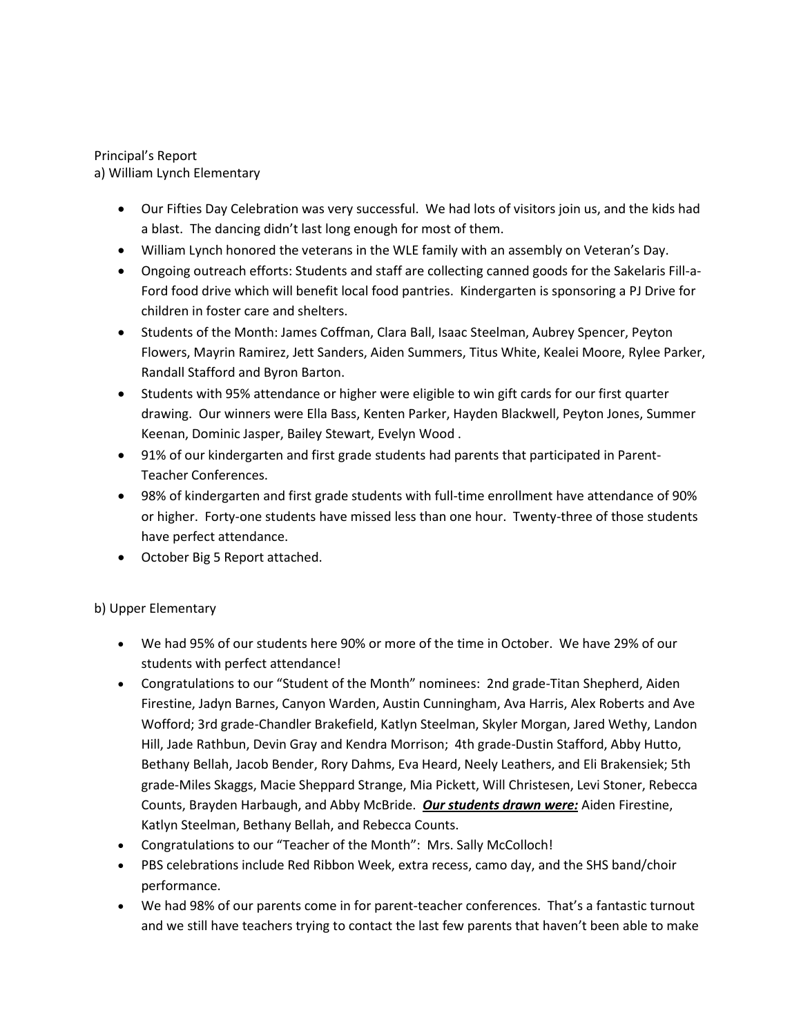## Principal's Report a) William Lynch Elementary

- Our Fifties Day Celebration was very successful. We had lots of visitors join us, and the kids had a blast. The dancing didn't last long enough for most of them.
- William Lynch honored the veterans in the WLE family with an assembly on Veteran's Day.
- Ongoing outreach efforts: Students and staff are collecting canned goods for the Sakelaris Fill-a-Ford food drive which will benefit local food pantries. Kindergarten is sponsoring a PJ Drive for children in foster care and shelters.
- Students of the Month: James Coffman, Clara Ball, Isaac Steelman, Aubrey Spencer, Peyton Flowers, Mayrin Ramirez, Jett Sanders, Aiden Summers, Titus White, Kealei Moore, Rylee Parker, Randall Stafford and Byron Barton.
- Students with 95% attendance or higher were eligible to win gift cards for our first quarter drawing. Our winners were Ella Bass, Kenten Parker, Hayden Blackwell, Peyton Jones, Summer Keenan, Dominic Jasper, Bailey Stewart, Evelyn Wood .
- 91% of our kindergarten and first grade students had parents that participated in Parent-Teacher Conferences.
- 98% of kindergarten and first grade students with full-time enrollment have attendance of 90% or higher. Forty-one students have missed less than one hour. Twenty-three of those students have perfect attendance.
- October Big 5 Report attached.

# b) Upper Elementary

- We had 95% of our students here 90% or more of the time in October. We have 29% of our students with perfect attendance!
- Congratulations to our "Student of the Month" nominees: 2nd grade-Titan Shepherd, Aiden Firestine, Jadyn Barnes, Canyon Warden, Austin Cunningham, Ava Harris, Alex Roberts and Ave Wofford; 3rd grade-Chandler Brakefield, Katlyn Steelman, Skyler Morgan, Jared Wethy, Landon Hill, Jade Rathbun, Devin Gray and Kendra Morrison; 4th grade-Dustin Stafford, Abby Hutto, Bethany Bellah, Jacob Bender, Rory Dahms, Eva Heard, Neely Leathers, and Eli Brakensiek; 5th grade-Miles Skaggs, Macie Sheppard Strange, Mia Pickett, Will Christesen, Levi Stoner, Rebecca Counts, Brayden Harbaugh, and Abby McBride. *Our students drawn were:* Aiden Firestine, Katlyn Steelman, Bethany Bellah, and Rebecca Counts.
- Congratulations to our "Teacher of the Month": Mrs. Sally McColloch!
- PBS celebrations include Red Ribbon Week, extra recess, camo day, and the SHS band/choir performance.
- We had 98% of our parents come in for parent-teacher conferences. That's a fantastic turnout and we still have teachers trying to contact the last few parents that haven't been able to make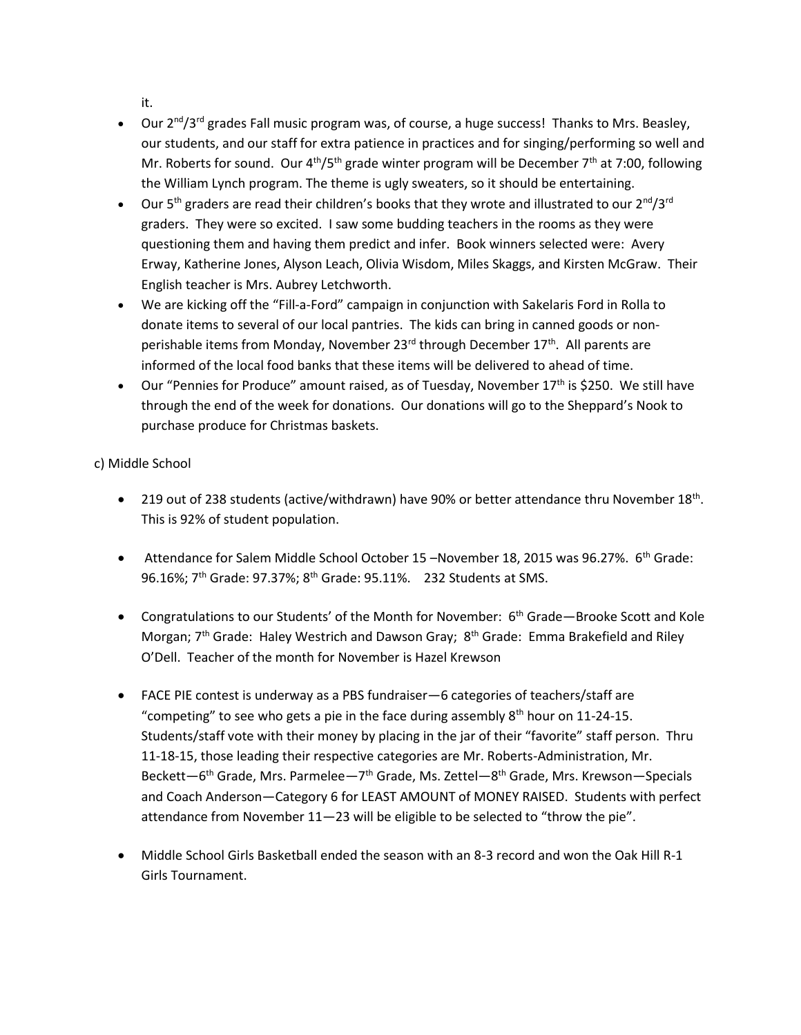it.

- $\bullet$  Our 2<sup>nd</sup>/3<sup>rd</sup> grades Fall music program was, of course, a huge success! Thanks to Mrs. Beasley, our students, and our staff for extra patience in practices and for singing/performing so well and Mr. Roberts for sound. Our  $4<sup>th</sup>/5<sup>th</sup>$  grade winter program will be December 7<sup>th</sup> at 7:00, following the William Lynch program. The theme is ugly sweaters, so it should be entertaining.
- Our 5<sup>th</sup> graders are read their children's books that they wrote and illustrated to our 2<sup>nd</sup>/3<sup>rd</sup> graders. They were so excited. I saw some budding teachers in the rooms as they were questioning them and having them predict and infer. Book winners selected were: Avery Erway, Katherine Jones, Alyson Leach, Olivia Wisdom, Miles Skaggs, and Kirsten McGraw. Their English teacher is Mrs. Aubrey Letchworth.
- We are kicking off the "Fill-a-Ford" campaign in conjunction with Sakelaris Ford in Rolla to donate items to several of our local pantries. The kids can bring in canned goods or nonperishable items from Monday, November 23<sup>rd</sup> through December 17<sup>th</sup>. All parents are informed of the local food banks that these items will be delivered to ahead of time.
- Our "Pennies for Produce" amount raised, as of Tuesday, November  $17<sup>th</sup>$  is \$250. We still have through the end of the week for donations. Our donations will go to the Sheppard's Nook to purchase produce for Christmas baskets.

c) Middle School

- 219 out of 238 students (active/withdrawn) have 90% or better attendance thru November 18<sup>th</sup>. This is 92% of student population.
- Attendance for Salem Middle School October 15 –November 18, 2015 was 96.27%. 6<sup>th</sup> Grade: 96.16%; 7<sup>th</sup> Grade: 97.37%; 8<sup>th</sup> Grade: 95.11%. 232 Students at SMS.
- Congratulations to our Students' of the Month for November:  $6<sup>th</sup>$  Grade—Brooke Scott and Kole Morgan; 7<sup>th</sup> Grade: Haley Westrich and Dawson Gray; 8<sup>th</sup> Grade: Emma Brakefield and Riley O'Dell. Teacher of the month for November is Hazel Krewson
- FACE PIE contest is underway as a PBS fundraiser—6 categories of teachers/staff are "competing" to see who gets a pie in the face during assembly 8<sup>th</sup> hour on 11-24-15. Students/staff vote with their money by placing in the jar of their "favorite" staff person. Thru 11-18-15, those leading their respective categories are Mr. Roberts-Administration, Mr. Beckett—6<sup>th</sup> Grade, Mrs. Parmelee—7<sup>th</sup> Grade, Ms. Zettel—8<sup>th</sup> Grade, Mrs. Krewson—Specials and Coach Anderson—Category 6 for LEAST AMOUNT of MONEY RAISED. Students with perfect attendance from November 11—23 will be eligible to be selected to "throw the pie".
- Middle School Girls Basketball ended the season with an 8-3 record and won the Oak Hill R-1 Girls Tournament.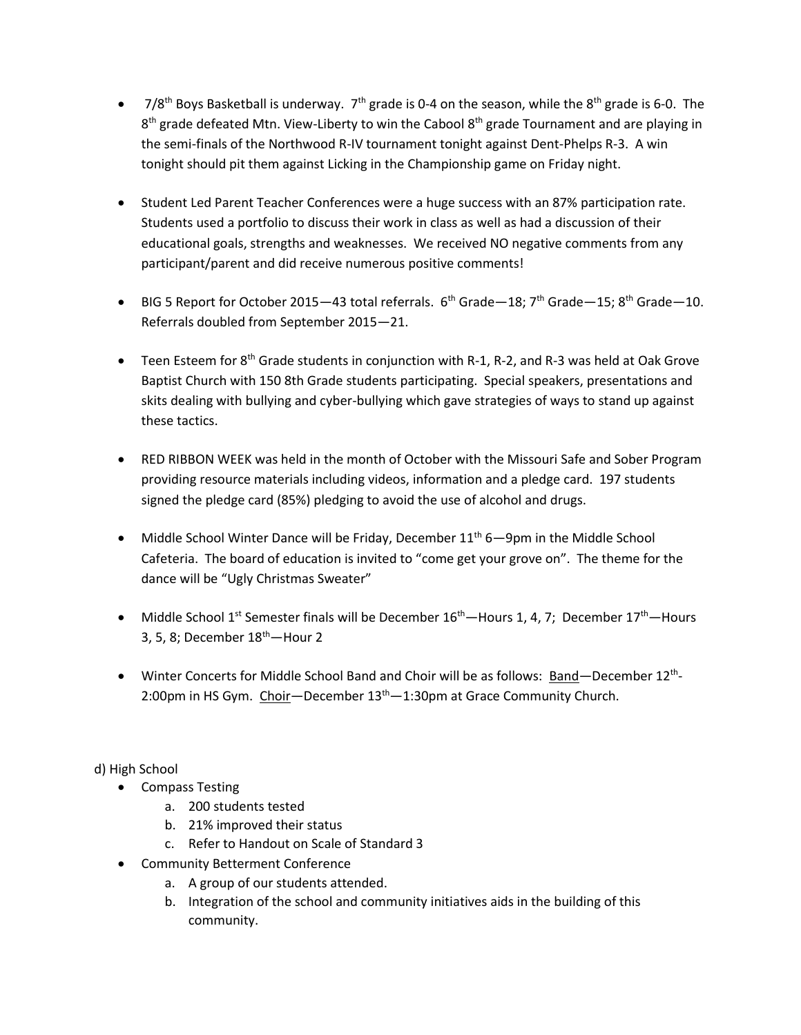- $\bullet$  7/8<sup>th</sup> Boys Basketball is underway. 7<sup>th</sup> grade is 0-4 on the season, while the 8<sup>th</sup> grade is 6-0. The 8<sup>th</sup> grade defeated Mtn. View-Liberty to win the Cabool 8<sup>th</sup> grade Tournament and are playing in the semi-finals of the Northwood R-IV tournament tonight against Dent-Phelps R-3. A win tonight should pit them against Licking in the Championship game on Friday night.
- Student Led Parent Teacher Conferences were a huge success with an 87% participation rate. Students used a portfolio to discuss their work in class as well as had a discussion of their educational goals, strengths and weaknesses. We received NO negative comments from any participant/parent and did receive numerous positive comments!
- BIG 5 Report for October 2015-43 total referrals.  $6<sup>th</sup>$  Grade-18; 7<sup>th</sup> Grade-15; 8<sup>th</sup> Grade-10. Referrals doubled from September 2015—21.
- **•** Teen Esteem for  $8<sup>th</sup>$  Grade students in conjunction with R-1, R-2, and R-3 was held at Oak Grove Baptist Church with 150 8th Grade students participating. Special speakers, presentations and skits dealing with bullying and cyber-bullying which gave strategies of ways to stand up against these tactics.
- RED RIBBON WEEK was held in the month of October with the Missouri Safe and Sober Program providing resource materials including videos, information and a pledge card. 197 students signed the pledge card (85%) pledging to avoid the use of alcohol and drugs.
- Middle School Winter Dance will be Friday, December  $11<sup>th</sup> 6$ —9pm in the Middle School Cafeteria. The board of education is invited to "come get your grove on". The theme for the dance will be "Ugly Christmas Sweater"
- Middle School 1<sup>st</sup> Semester finals will be December  $16<sup>th</sup>$ -Hours 1, 4, 7; December  $17<sup>th</sup>$ -Hours 3, 5, 8; December  $18<sup>th</sup>$ -Hour 2
- Winter Concerts for Middle School Band and Choir will be as follows: **Band**—December 12<sup>th</sup>-2:00pm in HS Gym. Choir-December 13<sup>th</sup>-1:30pm at Grace Community Church.

d) High School

- Compass Testing
	- a. 200 students tested
	- b. 21% improved their status
	- c. Refer to Handout on Scale of Standard 3
- Community Betterment Conference
	- a. A group of our students attended.
	- b. Integration of the school and community initiatives aids in the building of this community.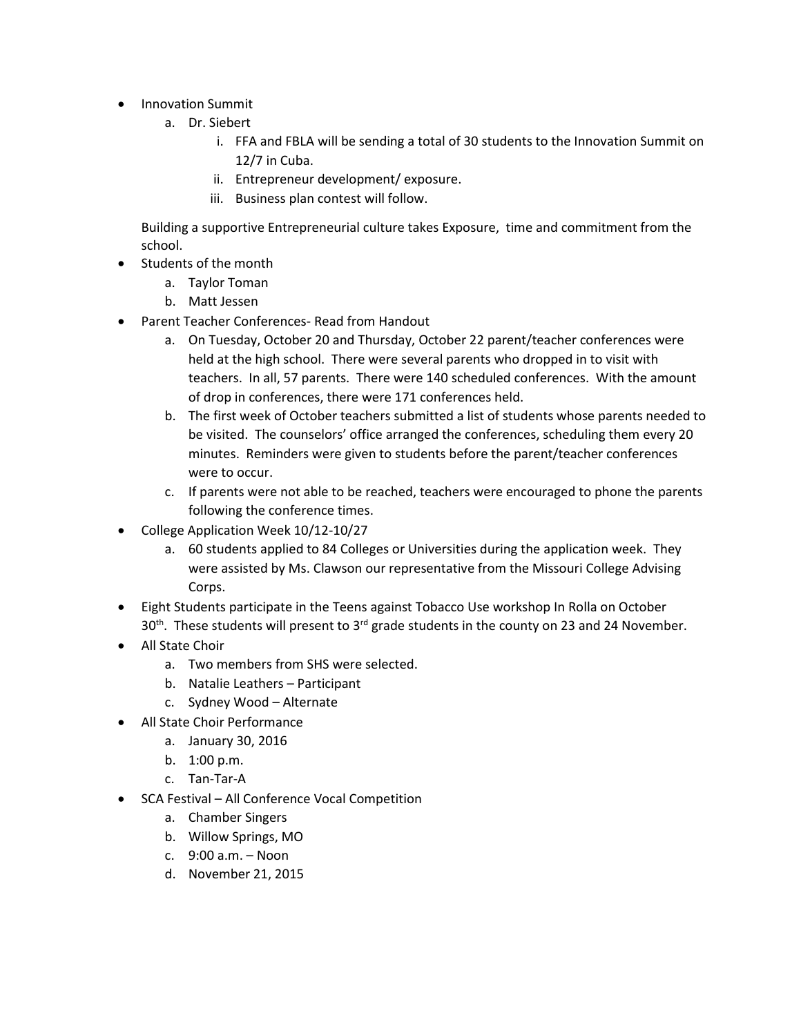- Innovation Summit
	- a. Dr. Siebert
		- i. FFA and FBLA will be sending a total of 30 students to the Innovation Summit on 12/7 in Cuba.
		- ii. Entrepreneur development/ exposure.
		- iii. Business plan contest will follow.

Building a supportive Entrepreneurial culture takes Exposure, time and commitment from the school.

- Students of the month
	- a. Taylor Toman
	- b. Matt Jessen
- Parent Teacher Conferences- Read from Handout
	- a. On Tuesday, October 20 and Thursday, October 22 parent/teacher conferences were held at the high school. There were several parents who dropped in to visit with teachers. In all, 57 parents. There were 140 scheduled conferences. With the amount of drop in conferences, there were 171 conferences held.
	- b. The first week of October teachers submitted a list of students whose parents needed to be visited. The counselors' office arranged the conferences, scheduling them every 20 minutes. Reminders were given to students before the parent/teacher conferences were to occur.
	- c. If parents were not able to be reached, teachers were encouraged to phone the parents following the conference times.
- College Application Week 10/12-10/27
	- a. 60 students applied to 84 Colleges or Universities during the application week. They were assisted by Ms. Clawson our representative from the Missouri College Advising Corps.
- Eight Students participate in the Teens against Tobacco Use workshop In Rolla on October 30<sup>th</sup>. These students will present to 3<sup>rd</sup> grade students in the county on 23 and 24 November.
- All State Choir
	- a. Two members from SHS were selected.
	- b. Natalie Leathers Participant
	- c. Sydney Wood Alternate
- All State Choir Performance
	- a. January 30, 2016
	- b. 1:00 p.m.
	- c. Tan-Tar-A
- SCA Festival All Conference Vocal Competition
	- a. Chamber Singers
	- b. Willow Springs, MO
	- c. 9:00 a.m. Noon
	- d. November 21, 2015